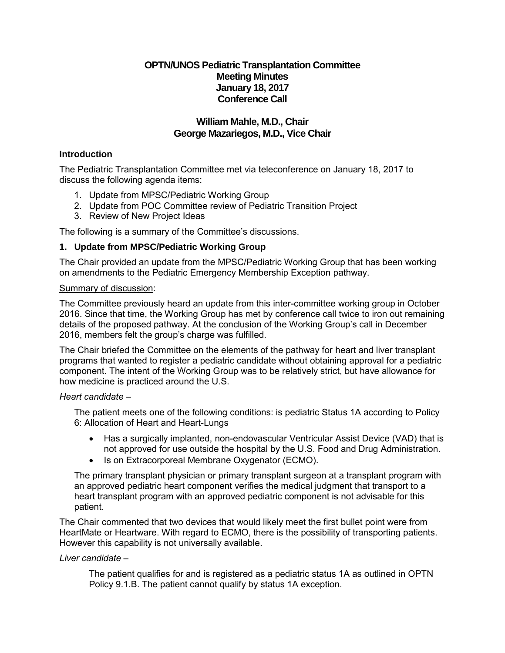# **OPTN/UNOS Pediatric Transplantation Committee Meeting Minutes January 18, 2017 Conference Call**

# **William Mahle, M.D., Chair George Mazariegos, M.D., Vice Chair**

# **Introduction**

The Pediatric Transplantation Committee met via teleconference on January 18, 2017 to discuss the following agenda items:

- 1. Update from MPSC/Pediatric Working Group
- 2. Update from POC Committee review of Pediatric Transition Project
- 3. Review of New Project Ideas

The following is a summary of the Committee's discussions.

# **1. Update from MPSC/Pediatric Working Group**

The Chair provided an update from the MPSC/Pediatric Working Group that has been working on amendments to the Pediatric Emergency Membership Exception pathway.

### Summary of discussion:

The Committee previously heard an update from this inter-committee working group in October 2016. Since that time, the Working Group has met by conference call twice to iron out remaining details of the proposed pathway. At the conclusion of the Working Group's call in December 2016, members felt the group's charge was fulfilled.

The Chair briefed the Committee on the elements of the pathway for heart and liver transplant programs that wanted to register a pediatric candidate without obtaining approval for a pediatric component. The intent of the Working Group was to be relatively strict, but have allowance for how medicine is practiced around the U.S.

# *Heart candidate* –

The patient meets one of the following conditions: is pediatric Status 1A according to Policy 6: Allocation of Heart and Heart-Lungs

- Has a surgically implanted, non-endovascular Ventricular Assist Device (VAD) that is not approved for use outside the hospital by the U.S. Food and Drug Administration.
- Is on Extracorporeal Membrane Oxygenator (ECMO).

The primary transplant physician or primary transplant surgeon at a transplant program with an approved pediatric heart component verifies the medical judgment that transport to a heart transplant program with an approved pediatric component is not advisable for this patient.

The Chair commented that two devices that would likely meet the first bullet point were from HeartMate or Heartware. With regard to ECMO, there is the possibility of transporting patients. However this capability is not universally available.

#### *Liver candidate –*

The patient qualifies for and is registered as a pediatric status 1A as outlined in OPTN Policy 9.1.B. The patient cannot qualify by status 1A exception.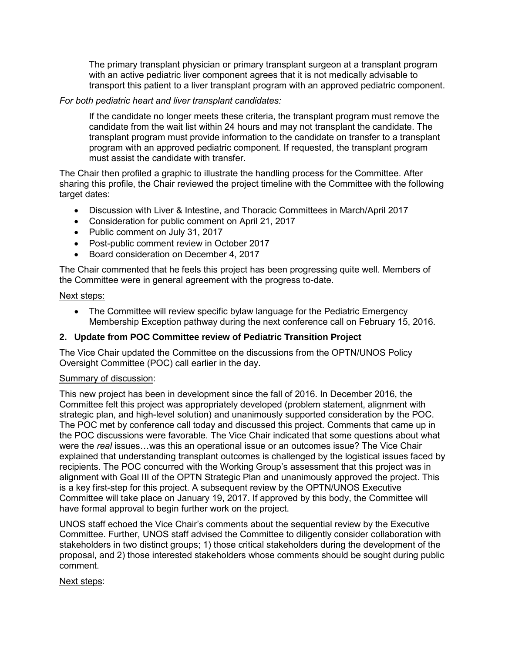The primary transplant physician or primary transplant surgeon at a transplant program with an active pediatric liver component agrees that it is not medically advisable to transport this patient to a liver transplant program with an approved pediatric component.

# *For both pediatric heart and liver transplant candidates:*

If the candidate no longer meets these criteria, the transplant program must remove the candidate from the wait list within 24 hours and may not transplant the candidate. The transplant program must provide information to the candidate on transfer to a transplant program with an approved pediatric component. If requested, the transplant program must assist the candidate with transfer.

The Chair then profiled a graphic to illustrate the handling process for the Committee. After sharing this profile, the Chair reviewed the project timeline with the Committee with the following target dates:

- Discussion with Liver & Intestine, and Thoracic Committees in March/April 2017
- Consideration for public comment on April 21, 2017
- Public comment on July 31, 2017
- Post-public comment review in October 2017
- **Board consideration on December 4, 2017**

The Chair commented that he feels this project has been progressing quite well. Members of the Committee were in general agreement with the progress to-date.

### Next steps:

 The Committee will review specific bylaw language for the Pediatric Emergency Membership Exception pathway during the next conference call on February 15, 2016.

# **2. Update from POC Committee review of Pediatric Transition Project**

The Vice Chair updated the Committee on the discussions from the OPTN/UNOS Policy Oversight Committee (POC) call earlier in the day.

# Summary of discussion:

This new project has been in development since the fall of 2016. In December 2016, the Committee felt this project was appropriately developed (problem statement, alignment with strategic plan, and high-level solution) and unanimously supported consideration by the POC. The POC met by conference call today and discussed this project. Comments that came up in the POC discussions were favorable. The Vice Chair indicated that some questions about what were the *real* issues…was this an operational issue or an outcomes issue? The Vice Chair explained that understanding transplant outcomes is challenged by the logistical issues faced by recipients. The POC concurred with the Working Group's assessment that this project was in alignment with Goal III of the OPTN Strategic Plan and unanimously approved the project. This is a key first-step for this project. A subsequent review by the OPTN/UNOS Executive Committee will take place on January 19, 2017. If approved by this body, the Committee will have formal approval to begin further work on the project.

UNOS staff echoed the Vice Chair's comments about the sequential review by the Executive Committee. Further, UNOS staff advised the Committee to diligently consider collaboration with stakeholders in two distinct groups; 1) those critical stakeholders during the development of the proposal, and 2) those interested stakeholders whose comments should be sought during public comment.

# Next steps: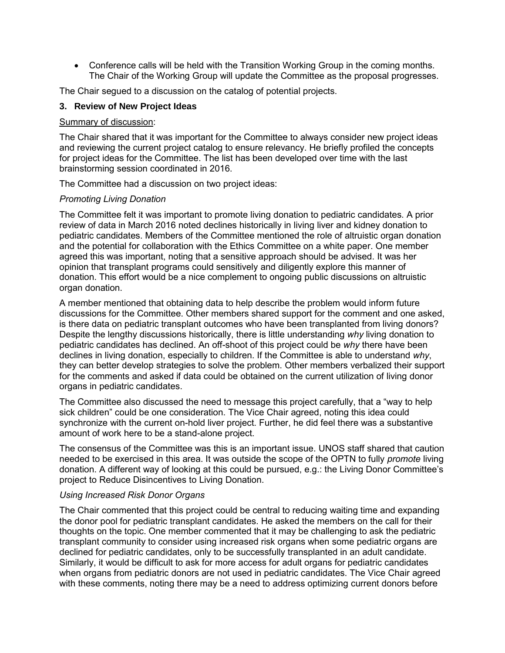Conference calls will be held with the Transition Working Group in the coming months. The Chair of the Working Group will update the Committee as the proposal progresses.

The Chair segued to a discussion on the catalog of potential projects.

### **3. Review of New Project Ideas**

#### Summary of discussion:

The Chair shared that it was important for the Committee to always consider new project ideas and reviewing the current project catalog to ensure relevancy. He briefly profiled the concepts for project ideas for the Committee. The list has been developed over time with the last brainstorming session coordinated in 2016.

The Committee had a discussion on two project ideas:

# *Promoting Living Donation*

The Committee felt it was important to promote living donation to pediatric candidates. A prior review of data in March 2016 noted declines historically in living liver and kidney donation to pediatric candidates. Members of the Committee mentioned the role of altruistic organ donation and the potential for collaboration with the Ethics Committee on a white paper. One member agreed this was important, noting that a sensitive approach should be advised. It was her opinion that transplant programs could sensitively and diligently explore this manner of donation. This effort would be a nice complement to ongoing public discussions on altruistic organ donation.

A member mentioned that obtaining data to help describe the problem would inform future discussions for the Committee. Other members shared support for the comment and one asked, is there data on pediatric transplant outcomes who have been transplanted from living donors? Despite the lengthy discussions historically, there is little understanding *why* living donation to pediatric candidates has declined. An off-shoot of this project could be *why* there have been declines in living donation, especially to children. If the Committee is able to understand *why*, they can better develop strategies to solve the problem. Other members verbalized their support for the comments and asked if data could be obtained on the current utilization of living donor organs in pediatric candidates.

The Committee also discussed the need to message this project carefully, that a "way to help sick children" could be one consideration. The Vice Chair agreed, noting this idea could synchronize with the current on-hold liver project. Further, he did feel there was a substantive amount of work here to be a stand-alone project.

The consensus of the Committee was this is an important issue. UNOS staff shared that caution needed to be exercised in this area. It was outside the scope of the OPTN to fully *promote* living donation. A different way of looking at this could be pursued, e.g.: the Living Donor Committee's project to Reduce Disincentives to Living Donation.

#### *Using Increased Risk Donor Organs*

The Chair commented that this project could be central to reducing waiting time and expanding the donor pool for pediatric transplant candidates. He asked the members on the call for their thoughts on the topic. One member commented that it may be challenging to ask the pediatric transplant community to consider using increased risk organs when some pediatric organs are declined for pediatric candidates, only to be successfully transplanted in an adult candidate. Similarly, it would be difficult to ask for more access for adult organs for pediatric candidates when organs from pediatric donors are not used in pediatric candidates. The Vice Chair agreed with these comments, noting there may be a need to address optimizing current donors before